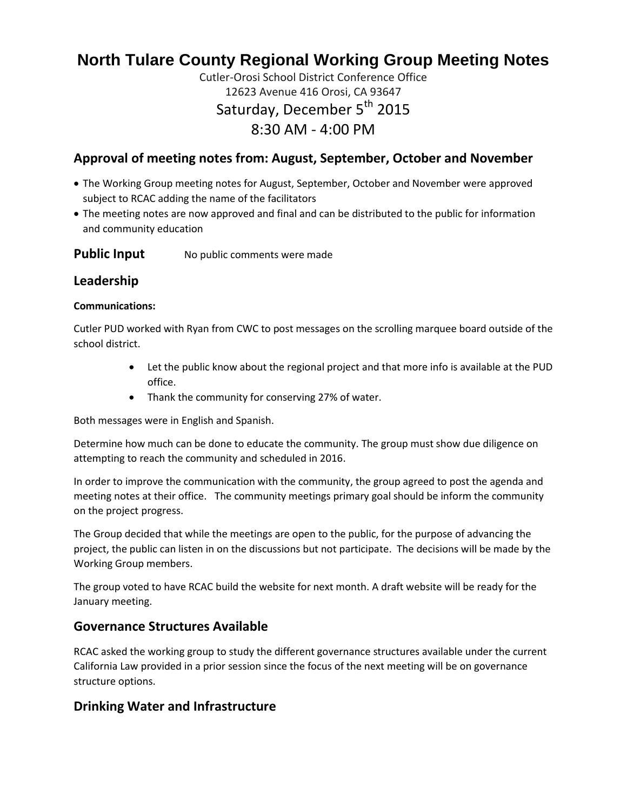# **North Tulare County Regional Working Group Meeting Notes**

# Cutler-Orosi School District Conference Office 12623 Avenue 416 Orosi, CA 93647 Saturday, December 5<sup>th</sup> 2015 8:30 AM - 4:00 PM

# **Approval of meeting notes from: August, September, October and November**

- The Working Group meeting notes for August, September, October and November were approved subject to RCAC adding the name of the facilitators
- The meeting notes are now approved and final and can be distributed to the public for information and community education

#### **Public Input** No public comments were made

# **Leadership**

#### **Communications:**

Cutler PUD worked with Ryan from CWC to post messages on the scrolling marquee board outside of the school district.

- Let the public know about the regional project and that more info is available at the PUD office.
- Thank the community for conserving 27% of water.

Both messages were in English and Spanish.

Determine how much can be done to educate the community. The group must show due diligence on attempting to reach the community and scheduled in 2016.

In order to improve the communication with the community, the group agreed to post the agenda and meeting notes at their office. The community meetings primary goal should be inform the community on the project progress.

The Group decided that while the meetings are open to the public, for the purpose of advancing the project, the public can listen in on the discussions but not participate. The decisions will be made by the Working Group members.

The group voted to have RCAC build the website for next month. A draft website will be ready for the January meeting.

# **Governance Structures Available**

RCAC asked the working group to study the different governance structures available under the current California Law provided in a prior session since the focus of the next meeting will be on governance structure options.

# **Drinking Water and Infrastructure**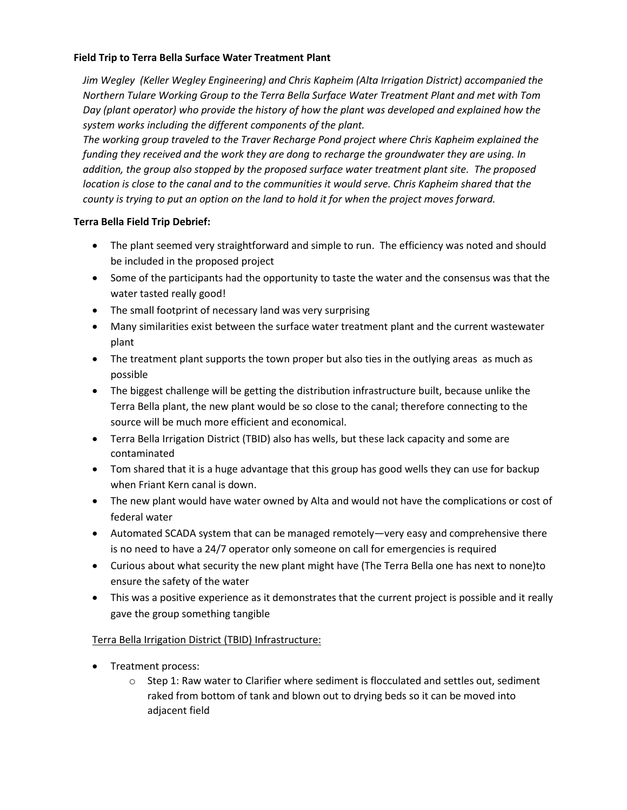#### **Field Trip to Terra Bella Surface Water Treatment Plant**

*Jim Wegley (Keller Wegley Engineering) and Chris Kapheim (Alta Irrigation District) accompanied the Northern Tulare Working Group to the Terra Bella Surface Water Treatment Plant and met with Tom Day (plant operator) who provide the history of how the plant was developed and explained how the system works including the different components of the plant.*

*The working group traveled to the Traver Recharge Pond project where Chris Kapheim explained the funding they received and the work they are dong to recharge the groundwater they are using. In addition, the group also stopped by the proposed surface water treatment plant site. The proposed location is close to the canal and to the communities it would serve. Chris Kapheim shared that the county is trying to put an option on the land to hold it for when the project moves forward.*

#### **Terra Bella Field Trip Debrief:**

- The plant seemed very straightforward and simple to run. The efficiency was noted and should be included in the proposed project
- Some of the participants had the opportunity to taste the water and the consensus was that the water tasted really good!
- The small footprint of necessary land was very surprising
- Many similarities exist between the surface water treatment plant and the current wastewater plant
- The treatment plant supports the town proper but also ties in the outlying areas as much as possible
- The biggest challenge will be getting the distribution infrastructure built, because unlike the Terra Bella plant, the new plant would be so close to the canal; therefore connecting to the source will be much more efficient and economical.
- Terra Bella Irrigation District (TBID) also has wells, but these lack capacity and some are contaminated
- Tom shared that it is a huge advantage that this group has good wells they can use for backup when Friant Kern canal is down.
- The new plant would have water owned by Alta and would not have the complications or cost of federal water
- Automated SCADA system that can be managed remotely—very easy and comprehensive there is no need to have a 24/7 operator only someone on call for emergencies is required
- Curious about what security the new plant might have (The Terra Bella one has next to none)to ensure the safety of the water
- This was a positive experience as it demonstrates that the current project is possible and it really gave the group something tangible

# Terra Bella Irrigation District (TBID) Infrastructure:

- Treatment process:
	- $\circ$  Step 1: Raw water to Clarifier where sediment is flocculated and settles out, sediment raked from bottom of tank and blown out to drying beds so it can be moved into adjacent field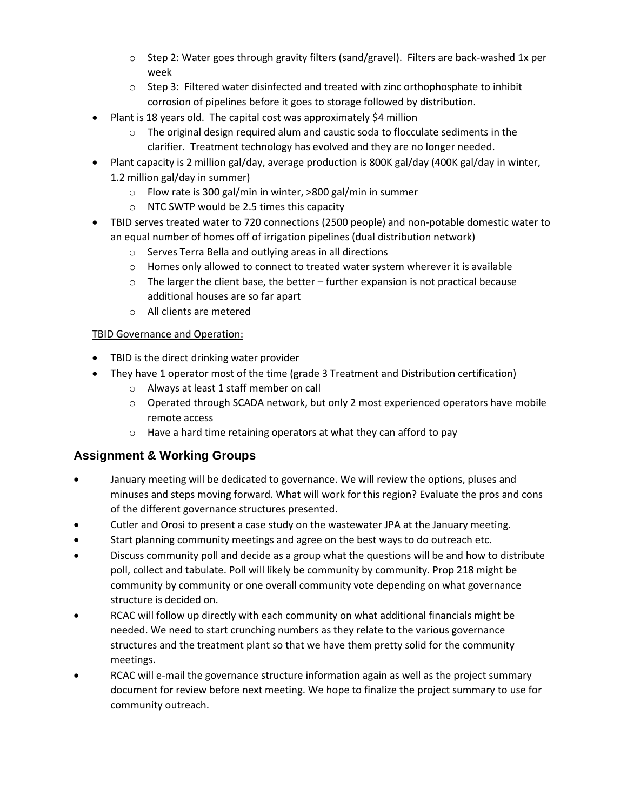- $\circ$  Step 2: Water goes through gravity filters (sand/gravel). Filters are back-washed 1x per week
- $\circ$  Step 3: Filtered water disinfected and treated with zinc orthophosphate to inhibit corrosion of pipelines before it goes to storage followed by distribution.
- Plant is 18 years old. The capital cost was approximately \$4 million
	- $\circ$  The original design required alum and caustic soda to flocculate sediments in the clarifier. Treatment technology has evolved and they are no longer needed.
- Plant capacity is 2 million gal/day, average production is 800K gal/day (400K gal/day in winter, 1.2 million gal/day in summer)
	- o Flow rate is 300 gal/min in winter, >800 gal/min in summer
	- o NTC SWTP would be 2.5 times this capacity
- TBID serves treated water to 720 connections (2500 people) and non-potable domestic water to an equal number of homes off of irrigation pipelines (dual distribution network)
	- o Serves Terra Bella and outlying areas in all directions
	- $\circ$  Homes only allowed to connect to treated water system wherever it is available
	- $\circ$  The larger the client base, the better further expansion is not practical because additional houses are so far apart
	- o All clients are metered

## TBID Governance and Operation:

- TBID is the direct drinking water provider
- They have 1 operator most of the time (grade 3 Treatment and Distribution certification)
	- o Always at least 1 staff member on call
	- o Operated through SCADA network, but only 2 most experienced operators have mobile remote access
	- o Have a hard time retaining operators at what they can afford to pay

# **Assignment & Working Groups**

- January meeting will be dedicated to governance. We will review the options, pluses and minuses and steps moving forward. What will work for this region? Evaluate the pros and cons of the different governance structures presented.
- Cutler and Orosi to present a case study on the wastewater JPA at the January meeting.
- Start planning community meetings and agree on the best ways to do outreach etc.
- Discuss community poll and decide as a group what the questions will be and how to distribute poll, collect and tabulate. Poll will likely be community by community. Prop 218 might be community by community or one overall community vote depending on what governance structure is decided on.
- RCAC will follow up directly with each community on what additional financials might be needed. We need to start crunching numbers as they relate to the various governance structures and the treatment plant so that we have them pretty solid for the community meetings.
- RCAC will e-mail the governance structure information again as well as the project summary document for review before next meeting. We hope to finalize the project summary to use for community outreach.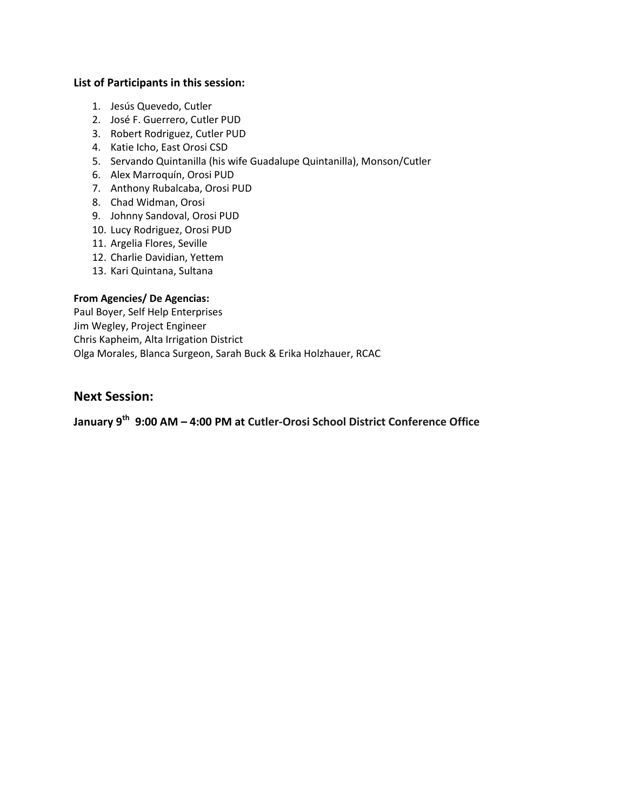#### **List of Participants in this session:**

- 1. Jesús Quevedo, Cutler
- 2. José F. Guerrero, Cutler PUD
- 3. Robert Rodriguez, Cutler PUD
- 4. Katie Icho, East Orosi CSD
- 5. Servando Quintanilla (his wife Guadalupe Quintanilla), Monson/Cutler
- 6. Alex Marroquín, Orosi PUD
- 7. Anthony Rubalcaba, Orosi PUD
- 8. Chad Widman, Orosi
- 9. Johnny Sandoval, Orosi PUD
- 10. Lucy Rodriguez, Orosi PUD
- 11. Argelia Flores, Seville
- 12. Charlie Davidian, Yettem
- 13. Kari Quintana, Sultana

#### **From Agencies/ De Agencias:**

Paul Boyer, Self Help Enterprises Jim Wegley, Project Engineer Chris Kapheim, Alta Irrigation District Olga Morales, Blanca Surgeon, Sarah Buck & Erika Holzhauer, RCAC

## **Next Session:**

**January 9th 9:00 AM – 4:00 PM at Cutler-Orosi School District Conference Office**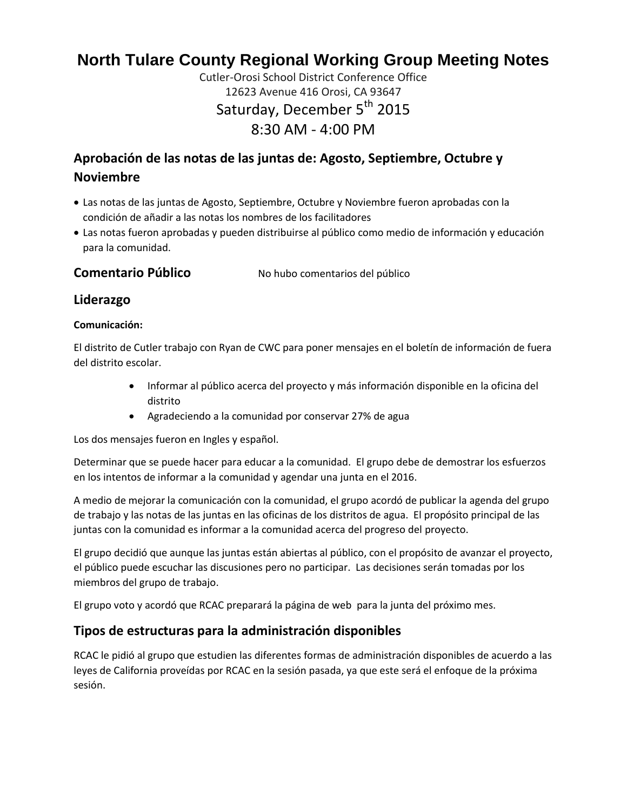# **North Tulare County Regional Working Group Meeting Notes**

Cutler-Orosi School District Conference Office 12623 Avenue 416 Orosi, CA 93647 Saturday, December 5<sup>th</sup> 2015 8:30 AM - 4:00 PM

# **Aprobación de las notas de las juntas de: Agosto, Septiembre, Octubre y Noviembre**

- Las notas de las juntas de Agosto, Septiembre, Octubre y Noviembre fueron aprobadas con la condición de añadir a las notas los nombres de los facilitadores
- Las notas fueron aprobadas y pueden distribuirse al público como medio de información y educación para la comunidad.

**Comentario Público** No hubo comentarios del público

# **Liderazgo**

#### **Comunicación:**

El distrito de Cutler trabajo con Ryan de CWC para poner mensajes en el boletín de información de fuera del distrito escolar.

- Informar al público acerca del proyecto y más información disponible en la oficina del distrito
- Agradeciendo a la comunidad por conservar 27% de agua

Los dos mensajes fueron en Ingles y español.

Determinar que se puede hacer para educar a la comunidad. El grupo debe de demostrar los esfuerzos en los intentos de informar a la comunidad y agendar una junta en el 2016.

A medio de mejorar la comunicación con la comunidad, el grupo acordó de publicar la agenda del grupo de trabajo y las notas de las juntas en las oficinas de los distritos de agua. El propósito principal de las juntas con la comunidad es informar a la comunidad acerca del progreso del proyecto.

El grupo decidió que aunque las juntas están abiertas al público, con el propósito de avanzar el proyecto, el público puede escuchar las discusiones pero no participar. Las decisiones serán tomadas por los miembros del grupo de trabajo.

El grupo voto y acordó que RCAC preparará la página de web para la junta del próximo mes.

# **Tipos de estructuras para la administración disponibles**

RCAC le pidió al grupo que estudien las diferentes formas de administración disponibles de acuerdo a las leyes de California proveídas por RCAC en la sesión pasada, ya que este será el enfoque de la próxima sesión.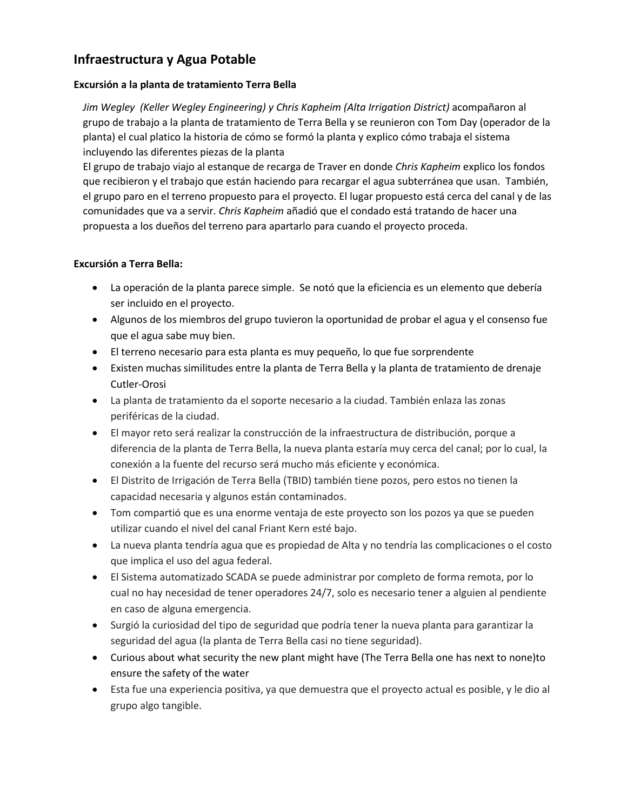# **Infraestructura y Agua Potable**

#### **Excursión a la planta de tratamiento Terra Bella**

*Jim Wegley (Keller Wegley Engineering) y Chris Kapheim (Alta Irrigation District)* acompañaron al grupo de trabajo a la planta de tratamiento de Terra Bella y se reunieron con Tom Day (operador de la planta) el cual platico la historia de cómo se formó la planta y explico cómo trabaja el sistema incluyendo las diferentes piezas de la planta

El grupo de trabajo viajo al estanque de recarga de Traver en donde *Chris Kapheim* explico los fondos que recibieron y el trabajo que están haciendo para recargar el agua subterránea que usan. También, el grupo paro en el terreno propuesto para el proyecto. El lugar propuesto está cerca del canal y de las comunidades que va a servir. *Chris Kapheim* añadió que el condado está tratando de hacer una propuesta a los dueños del terreno para apartarlo para cuando el proyecto proceda.

#### **Excursión a Terra Bella:**

- La operación de la planta parece simple. Se notó que la eficiencia es un elemento que debería ser incluido en el proyecto.
- Algunos de los miembros del grupo tuvieron la oportunidad de probar el agua y el consenso fue que el agua sabe muy bien.
- El terreno necesario para esta planta es muy pequeño, lo que fue sorprendente
- Existen muchas similitudes entre la planta de Terra Bella y la planta de tratamiento de drenaje Cutler-Orosi
- La planta de tratamiento da el soporte necesario a la ciudad. También enlaza las zonas periféricas de la ciudad.
- El mayor reto será realizar la construcción de la infraestructura de distribución, porque a diferencia de la planta de Terra Bella, la nueva planta estaría muy cerca del canal; por lo cual, la conexión a la fuente del recurso será mucho más eficiente y económica.
- El Distrito de Irrigación de Terra Bella (TBID) también tiene pozos, pero estos no tienen la capacidad necesaria y algunos están contaminados.
- Tom compartió que es una enorme ventaja de este proyecto son los pozos ya que se pueden utilizar cuando el nivel del canal Friant Kern esté bajo.
- La nueva planta tendría agua que es propiedad de Alta y no tendría las complicaciones o el costo que implica el uso del agua federal.
- El Sistema automatizado SCADA se puede administrar por completo de forma remota, por lo cual no hay necesidad de tener operadores 24/7, solo es necesario tener a alguien al pendiente en caso de alguna emergencia.
- Surgió la curiosidad del tipo de seguridad que podría tener la nueva planta para garantizar la seguridad del agua (la planta de Terra Bella casi no tiene seguridad).
- Curious about what security the new plant might have (The Terra Bella one has next to none)to ensure the safety of the water
- Esta fue una experiencia positiva, ya que demuestra que el proyecto actual es posible, y le dio al grupo algo tangible.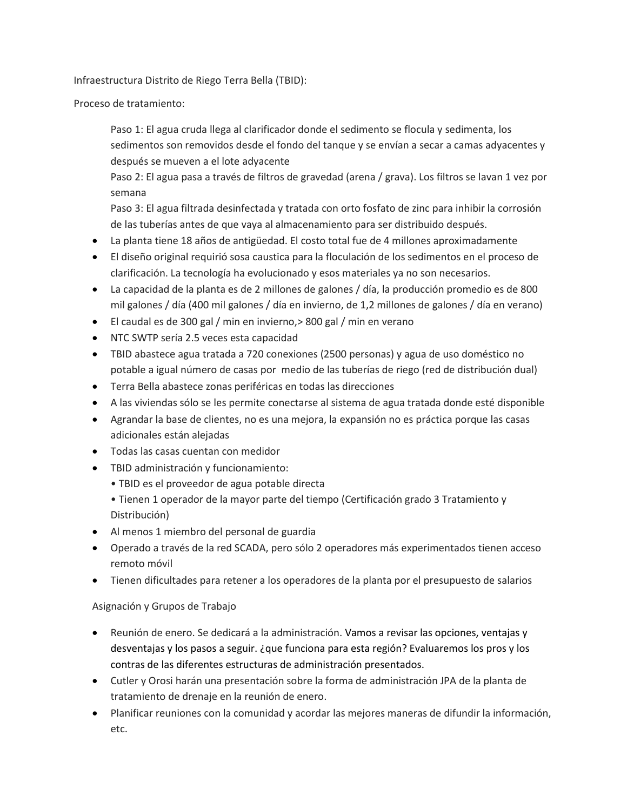Infraestructura Distrito de Riego Terra Bella (TBID):

Proceso de tratamiento:

Paso 1: El agua cruda llega al clarificador donde el sedimento se flocula y sedimenta, los sedimentos son removidos desde el fondo del tanque y se envían a secar a camas adyacentes y después se mueven a el lote adyacente

Paso 2: El agua pasa a través de filtros de gravedad (arena / grava). Los filtros se lavan 1 vez por semana

Paso 3: El agua filtrada desinfectada y tratada con orto fosfato de zinc para inhibir la corrosión de las tuberías antes de que vaya al almacenamiento para ser distribuido después.

- La planta tiene 18 años de antigüedad. El costo total fue de 4 millones aproximadamente
- El diseño original requirió sosa caustica para la floculación de los sedimentos en el proceso de clarificación. La tecnología ha evolucionado y esos materiales ya no son necesarios.
- La capacidad de la planta es de 2 millones de galones / día, la producción promedio es de 800 mil galones / día (400 mil galones / día en invierno, de 1,2 millones de galones / día en verano)
- El caudal es de 300 gal / min en invierno,> 800 gal / min en verano
- NTC SWTP sería 2.5 veces esta capacidad
- TBID abastece agua tratada a 720 conexiones (2500 personas) y agua de uso doméstico no potable a igual número de casas por medio de las tuberías de riego (red de distribución dual)
- Terra Bella abastece zonas periféricas en todas las direcciones
- A las viviendas sólo se les permite conectarse al sistema de agua tratada donde esté disponible
- Agrandar la base de clientes, no es una mejora, la expansión no es práctica porque las casas adicionales están alejadas
- Todas las casas cuentan con medidor
- TBID administración y funcionamiento:
	- TBID es el proveedor de agua potable directa
	- Tienen 1 operador de la mayor parte del tiempo (Certificación grado 3 Tratamiento y Distribución)
- Al menos 1 miembro del personal de guardia
- Operado a través de la red SCADA, pero sólo 2 operadores más experimentados tienen acceso remoto móvil
- Tienen dificultades para retener a los operadores de la planta por el presupuesto de salarios

#### Asignación y Grupos de Trabajo

- Reunión de enero. Se dedicará a la administración. Vamos a revisar las opciones, ventajas y desventajas y los pasos a seguir. ¿que funciona para esta región? Evaluaremos los pros y los contras de las diferentes estructuras de administración presentados.
- Cutler y Orosi harán una presentación sobre la forma de administración JPA de la planta de tratamiento de drenaje en la reunión de enero.
- Planificar reuniones con la comunidad y acordar las mejores maneras de difundir la información, etc.